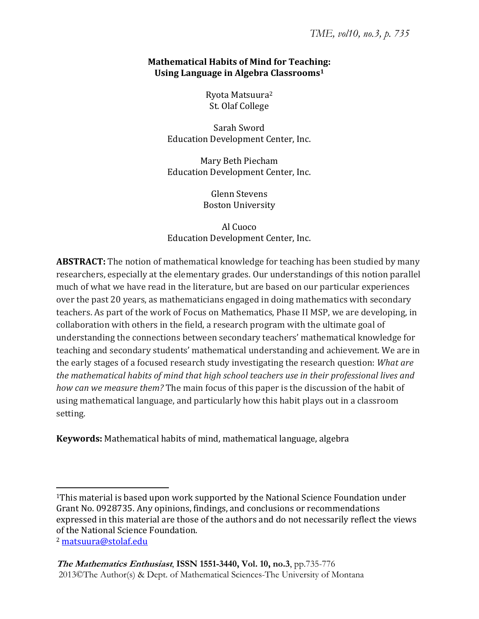# **Mathematical Habits of Mind for Teaching: Using Language in Algebra Classrooms1**

Ryota Matsuura<sup>2</sup> St. Olaf College

Sarah Sword Education Development Center, Inc.

Mary Beth Piecham Education Development Center, Inc.

> Glenn Stevens **Boston University**

Al Cuoco Education Development Center, Inc.

**ABSTRACT:** The notion of mathematical knowledge for teaching has been studied by many researchers, especially at the elementary grades. Our understandings of this notion parallel much of what we have read in the literature, but are based on our particular experiences over the past 20 years, as mathematicians engaged in doing mathematics with secondary teachers. As part of the work of Focus on Mathematics, Phase II MSP, we are developing, in collaboration with others in the field, a research program with the ultimate goal of understanding the connections between secondary teachers' mathematical knowledge for teaching and secondary students' mathematical understanding and achievement. We are in the early stages of a focused research study investigating the research question: *What are the mathematical habits of mind that high school teachers use in their professional lives and how can we measure them?* using mathematical language, and particularly how this habit plays out in a classroom setting.

**Keywords:** Mathematical habits of mind, mathematical language, algebra

<sup>&</sup>lt;sup>1</sup>This material is based upon work supported by the National Science Foundation under Grant No. 0928735. Any opinions, findings, and conclusions or recommendations expressed in this material are those of the authors and do not necessarily reflect the views of the National Science Foundation.

<sup>&</sup>lt;sup>2</sup> matsuura@stolaf.edu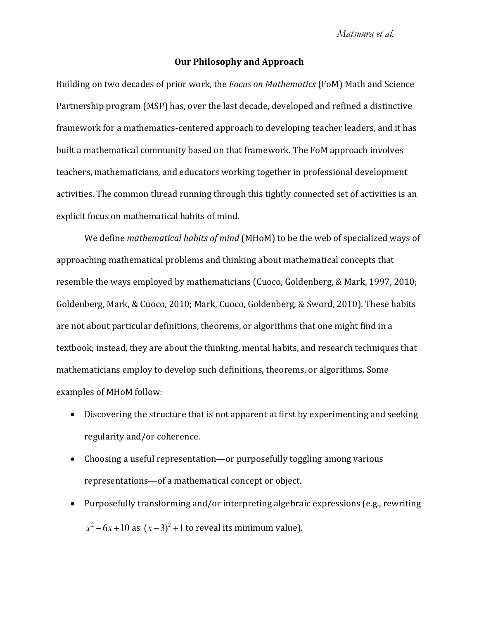#### **Our Philosophy and Approach**

Building on two decades of prior work, the *Focus on Mathematics* (FoM) Math and Science Partnership program (MSP) has, over the last decade, developed and refined a distinctive framework for a mathematics-centered approach to developing teacher leaders, and it has built a mathematical community based on that framework. The FoM approach involves teachers, mathematicians, and educators working together in professional development activities. The common thread running through this tightly connected set of activities is an explicit focus on mathematical habits of mind.

We define *mathematical habits of mind* (MHoM) to be the web of specialized ways of approaching mathematical problems and thinking about mathematical concepts that resemble the ways employed by mathematicians (Cuoco, Goldenberg, & Mark, 1997, 2010; Goldenberg, Mark, & Cuoco, 2010; Mark, Cuoco, Goldenberg, & Sword, 2010). These habits are not about particular definitions, theorems, or algorithms that one might find in a textbook; instead, they are about the thinking, mental habits, and research techniques that mathematicians employ to develop such definitions, theorems, or algorithms. Some examples of MHoM follow:

- Discovering the structure that is not apparent at first by experimenting and seeking regularity and/or coherence.
- Choosing a useful representation—or purposefully toggling among various representations-of a mathematical concept or object.
- Purposefully transforming and/or interpreting algebraic expressions (e.g., rewriting  $x^2 - 6x + 10$  as  $(x-3)^2 + 1$  to reveal its minimum value).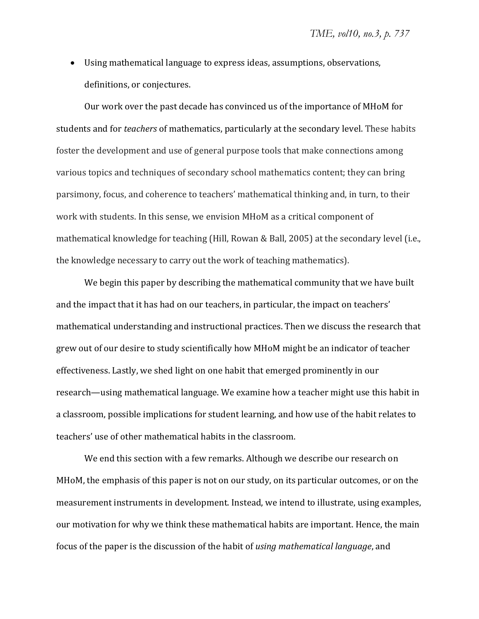• Using mathematical language to express ideas, assumptions, observations, definitions, or conjectures.

Our work over the past decade has convinced us of the importance of MHoM for students and for *teachers* of mathematics, particularly at the secondary level. These habits foster the development and use of general purpose tools that make connections among various topics and techniques of secondary school mathematics content; they can bring parsimony, focus, and coherence to teachers' mathematical thinking and, in turn, to their work with students. In this sense, we envision MHoM as a critical component of mathematical knowledge for teaching (Hill, Rowan & Ball, 2005) at the secondary level (i.e., the knowledge necessary to carry out the work of teaching mathematics).

We begin this paper by describing the mathematical community that we have built and the impact that it has had on our teachers, in particular, the impact on teachers' mathematical understanding and instructional practices. Then we discuss the research that grew out of our desire to study scientifically how MHoM might be an indicator of teacher effectiveness. Lastly, we shed light on one habit that emerged prominently in our research—using mathematical language. We examine how a teacher might use this habit in a classroom, possible implications for student learning, and how use of the habit relates to teachers' use of other mathematical habits in the classroom.

We end this section with a few remarks. Although we describe our research on MHoM, the emphasis of this paper is not on our study, on its particular outcomes, or on the measurement instruments in development. Instead, we intend to illustrate, using examples, our motivation for why we think these mathematical habits are important. Hence, the main *focus of the paper is the discussion of the habit of <i>using mathematical language*, and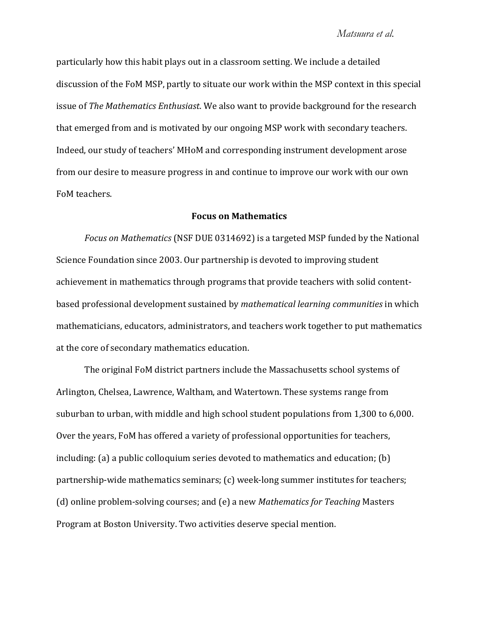particularly how this habit plays out in a classroom setting. We include a detailed discussion of the FoM MSP, partly to situate our work within the MSP context in this special *Issue of The Mathematics Enthusiast*. We also want to provide background for the research that emerged from and is motivated by our ongoing MSP work with secondary teachers. Indeed, our study of teachers' MHoM and corresponding instrument development arose from our desire to measure progress in and continue to improve our work with our own FoM teachers.

# **Focus on Mathematics**

*Focus on Mathematics* (NSF DUE 0314692) is a targeted MSP funded by the National Science Foundation since 2003. Our partnership is devoted to improving student achievement in mathematics through programs that provide teachers with solid contentbased professional development sustained by *mathematical learning communities* in which mathematicians, educators, administrators, and teachers work together to put mathematics at the core of secondary mathematics education.

The original FoM district partners include the Massachusetts school systems of Arlington, Chelsea, Lawrence, Waltham, and Watertown. These systems range from suburban to urban, with middle and high school student populations from 1,300 to 6,000. Over the years, FoM has offered a variety of professional opportunities for teachers, including: (a) a public colloquium series devoted to mathematics and education; (b) partnership-wide mathematics seminars; (c) week-long summer institutes for teachers; ȋȌǦǢȋȌ*Mathematics for Teaching* Program at Boston University. Two activities deserve special mention.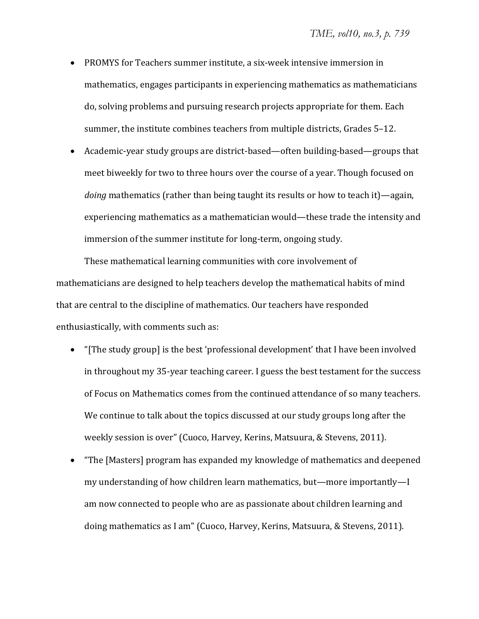- PROMYS for Teachers summer institute, a six-week intensive immersion in mathematics, engages participants in experiencing mathematics as mathematicians do, solving problems and pursuing research projects appropriate for them. Each summer, the institute combines teachers from multiple districts, Grades 5-12.
- Academic-year study groups are district-based—often building-based—groups that meet biweekly for two to three hours over the course of a year. Though focused on *doing* mathematics (rather than being taught its results or how to teach it)—again, experiencing mathematics as a mathematician would—these trade the intensity and immersion of the summer institute for long-term, ongoing study.

These mathematical learning communities with core involvement of mathematicians are designed to help teachers develop the mathematical habits of mind that are central to the discipline of mathematics. Our teachers have responded enthusiastically, with comments such as:

- "[The study group] is the best 'professional development' that I have been involved in throughout my 35-year teaching career. I guess the best testament for the success of Focus on Mathematics comes from the continued attendance of so many teachers. We continue to talk about the topics discussed at our study groups long after the weekly session is over" (Cuoco, Harvey, Kerins, Matsuura, & Stevens, 2011).
- "The [Masters] program has expanded my knowledge of mathematics and deepened my understanding of how children learn mathematics, but—more importantly—I am now connected to people who are as passionate about children learning and doing mathematics as I am" (Cuoco, Harvey, Kerins, Matsuura, & Stevens, 2011).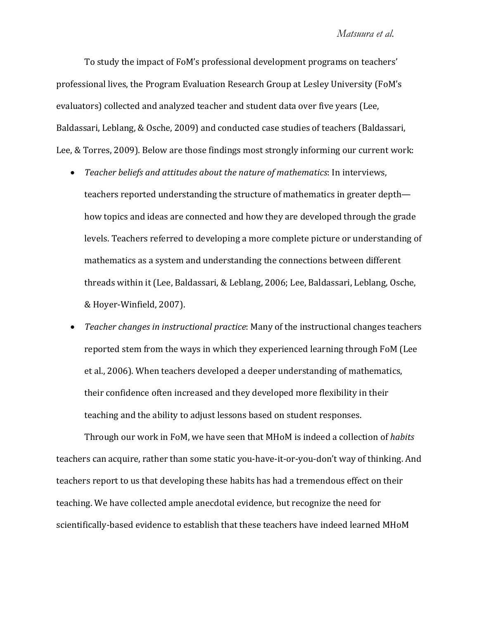To study the impact of FoM's professional development programs on teachers' professional lives, the Program Evaluation Research Group at Lesley University (FoM's evaluators) collected and analyzed teacher and student data over five years (Lee, Baldassari, Leblang, & Osche, 2009) and conducted case studies of teachers (Baldassari, Lee, & Torres, 2009). Below are those findings most strongly informing our current work:

- Teacher beliefs and attitudes about the nature of mathematics: In interviews, teachers reported understanding the structure of mathematics in greater depth how topics and ideas are connected and how they are developed through the grade levels. Teachers referred to developing a more complete picture or understanding of mathematics as a system and understanding the connections between different threads within it (Lee, Baldassari, & Leblang, 2006; Lee, Baldassari, Leblang, Osche, & Hoyer-Winfield, 2007).
- *Teacher changes in instructional practice:* Many of the instructional changes teachers reported stem from the ways in which they experienced learning through FoM (Lee et al., 2006). When teachers developed a deeper understanding of mathematics, their confidence often increased and they developed more flexibility in their teaching and the ability to adjust lessons based on student responses.

Through our work in FoM, we have seen that MHoM is indeed a collection of *habits* teachers can acquire, rather than some static you-have-it-or-you-don't way of thinking. And teachers report to us that developing these habits has had a tremendous effect on their teaching. We have collected ample anecdotal evidence, but recognize the need for scientifically-based evidence to establish that these teachers have indeed learned MHoM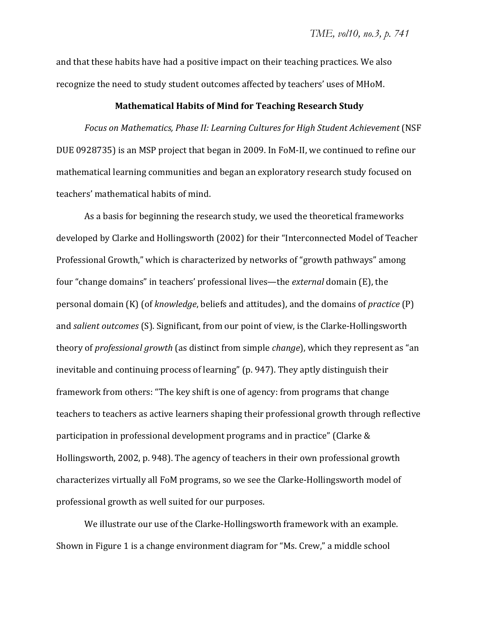and that these habits have had a positive impact on their teaching practices. We also recognize the need to study student outcomes affected by teachers' uses of MHoM.

#### **Mathematical Habits of Mind for Teaching Research Study**

*Focus* on *Mathematics, Phase II: Learning Cultures for High Student Achievement* (NSF DUE 0928735) is an MSP project that began in 2009. In FoM-II, we continued to refine our mathematical learning communities and began an exploratory research study focused on teachers' mathematical habits of mind.

As a basis for beginning the research study, we used the theoretical frameworks developed by Clarke and Hollingsworth (2002) for their "Interconnected Model of Teacher Professional Growth," which is characterized by networks of "growth pathways" among four "change domains" in teachers' professional lives—the *external* domain (E), the personal domain (K) (of *knowledge*, beliefs and attitudes), and the domains of *practice* (P) and *salient outcomes* (S). Significant, from our point of view, is the Clarke-Hollingsworth *theory of professional growth* (as distinct from simple *change*), which they represent as "an inevitable and continuing process of learning" (p. 947). They aptly distinguish their framework from others: "The key shift is one of agency: from programs that change teachers to teachers as active learners shaping their professional growth through reflective participation in professional development programs and in practice" (Clarke & Hollingsworth, 2002, p. 948). The agency of teachers in their own professional growth characterizes virtually all FoM programs, so we see the Clarke-Hollingsworth model of professional growth as well suited for our purposes.

We illustrate our use of the Clarke-Hollingsworth framework with an example. Shown in Figure 1 is a change environment diagram for "Ms. Crew," a middle school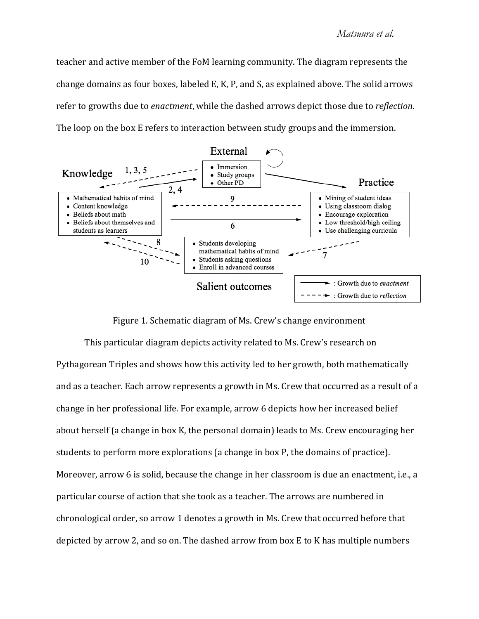# *Matsuura et al.*

teacher and active member of the FoM learning community. The diagram represents the change domains as four boxes, labeled E, K, P, and S, as explained above. The solid arrows *refer to growths due to enactment, while the dashed arrows depict those due to reflection.* The loop on the box E refers to interaction between study groups and the immersion.



Figure 1. Schematic diagram of Ms. Crew's change environment

This particular diagram depicts activity related to Ms. Crew's research on Pythagorean Triples and shows how this activity led to her growth, both mathematically and as a teacher. Each arrow represents a growth in Ms. Crew that occurred as a result of a change in her professional life. For example, arrow 6 depicts how her increased belief about herself (a change in box K, the personal domain) leads to Ms. Crew encouraging her students to perform more explorations (a change in box P, the domains of practice). Moreover, arrow 6 is solid, because the change in her classroom is due an enactment, i.e., a particular course of action that she took as a teacher. The arrows are numbered in chronological order, so arrow 1 denotes a growth in Ms. Crew that occurred before that depicted by arrow 2, and so on. The dashed arrow from box E to K has multiple numbers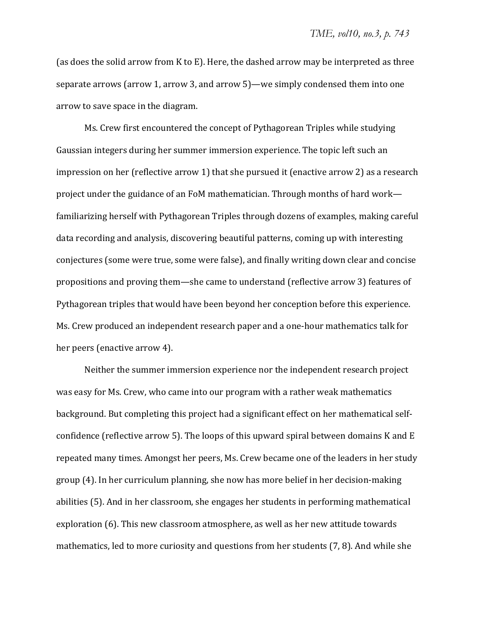(as does the solid arrow from K to E). Here, the dashed arrow may be interpreted as three separate arrows (arrow 1, arrow 3, and arrow 5)—we simply condensed them into one arrow to save space in the diagram.

Ms. Crew first encountered the concept of Pythagorean Triples while studying Gaussian integers during her summer immersion experience. The topic left such an impression on her (reflective arrow 1) that she pursued it (enactive arrow 2) as a research project under the guidance of an FoM mathematician. Through months of hard work familiarizing herself with Pythagorean Triples through dozens of examples, making careful data recording and analysis, discovering beautiful patterns, coming up with interesting conjectures (some were true, some were false), and finally writing down clear and concise propositions and proving them—she came to understand (reflective arrow 3) features of Pythagorean triples that would have been beyond her conception before this experience. Ms. Crew produced an independent research paper and a one-hour mathematics talk for her peers (enactive arrow 4).

Neither the summer immersion experience nor the independent research project was easy for Ms. Crew, who came into our program with a rather weak mathematics background. But completing this project had a significant effect on her mathematical selfconfidence (reflective arrow 5). The loops of this upward spiral between domains K and E repeated many times. Amongst her peers, Ms. Crew became one of the leaders in her study group (4). In her curriculum planning, she now has more belief in her decision-making abilities (5). And in her classroom, she engages her students in performing mathematical exploration (6). This new classroom atmosphere, as well as her new attitude towards mathematics, led to more curiosity and questions from her students (7, 8). And while she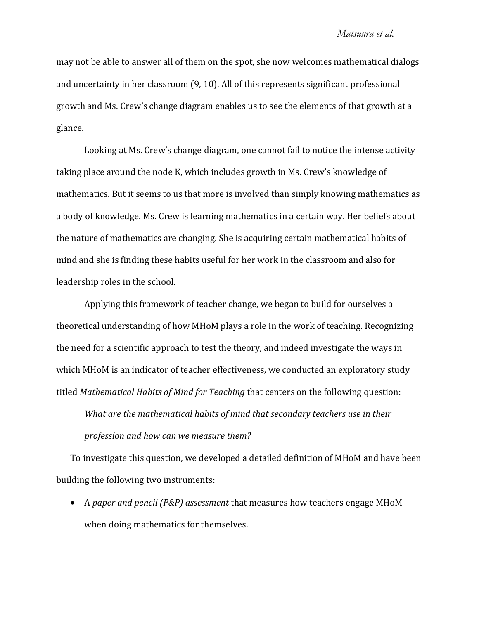## *Matsuura et al.*

may not be able to answer all of them on the spot, she now welcomes mathematical dialogs and uncertainty in her classroom (9, 10). All of this represents significant professional growth and Ms. Crew's change diagram enables us to see the elements of that growth at a glance.

Looking at Ms. Crew's change diagram, one cannot fail to notice the intense activity taking place around the node K, which includes growth in Ms. Crew's knowledge of mathematics. But it seems to us that more is involved than simply knowing mathematics as a body of knowledge. Ms. Crew is learning mathematics in a certain way. Her beliefs about the nature of mathematics are changing. She is acquiring certain mathematical habits of mind and she is finding these habits useful for her work in the classroom and also for leadership roles in the school.

Applying this framework of teacher change, we began to build for ourselves a theoretical understanding of how MHoM plays a role in the work of teaching. Recognizing the need for a scientific approach to test the theory, and indeed investigate the ways in which MHoM is an indicator of teacher effectiveness, we conducted an exploratory study *Hitled Mathematical Habits of Mind for Teaching that centers on the following question:* 

*What are the mathematical habits of mind that secondary teachers use in their profession and how can we measure them?*

To investigate this question, we developed a detailed definition of MHoM and have been building the following two instruments:

• A paper and pencil (P&P) assessment that measures how teachers engage MHoM when doing mathematics for themselves.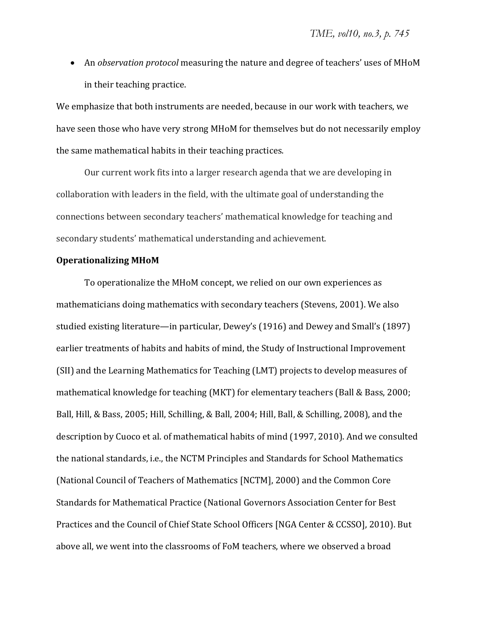• An *observation protocol* measuring the nature and degree of teachers' uses of MHoM in their teaching practice.

We emphasize that both instruments are needed, because in our work with teachers, we have seen those who have very strong MHoM for themselves but do not necessarily employ the same mathematical habits in their teaching practices.

Our current work fits into a larger research agenda that we are developing in collaboration with leaders in the field, with the ultimate goal of understanding the connections between secondary teachers' mathematical knowledge for teaching and secondary students' mathematical understanding and achievement.

#### **Operationalizing MHoM**

To operationalize the MHoM concept, we relied on our own experiences as mathematicians doing mathematics with secondary teachers (Stevens, 2001). We also studied existing literature—in particular, Dewey's (1916) and Dewey and Small's (1897) earlier treatments of habits and habits of mind, the Study of Instructional Improvement (SII) and the Learning Mathematics for Teaching (LMT) projects to develop measures of mathematical knowledge for teaching (MKT) for elementary teachers (Ball & Bass, 2000; Ball, Hill, & Bass, 2005; Hill, Schilling, & Ball, 2004; Hill, Ball, & Schilling, 2008), and the description by Cuoco et al. of mathematical habits of mind (1997, 2010). And we consulted the national standards, i.e., the NCTM Principles and Standards for School Mathematics (National Council of Teachers of Mathematics [NCTM], 2000) and the Common Core Standards for Mathematical Practice (National Governors Association Center for Best Practices and the Council of Chief State School Officers [NGA Center & CCSSO], 2010). But above all, we went into the classrooms of FoM teachers, where we observed a broad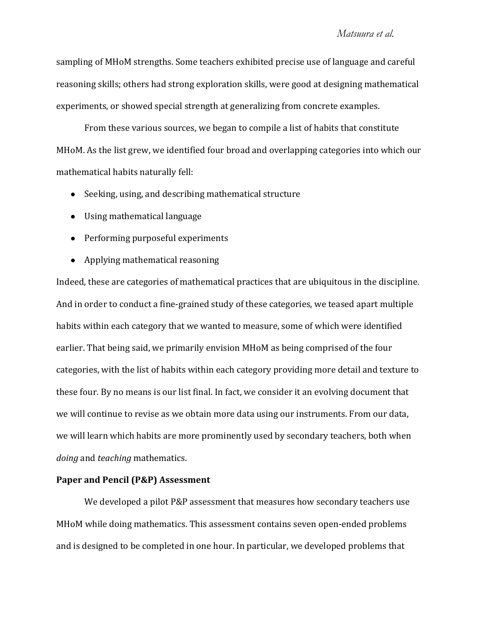# *Matsuura et al.*

sampling of MHoM strengths. Some teachers exhibited precise use of language and careful reasoning skills; others had strong exploration skills, were good at designing mathematical experiments, or showed special strength at generalizing from concrete examples.

From these various sources, we began to compile a list of habits that constitute MHoM. As the list grew, we identified four broad and overlapping categories into which our mathematical habits naturally fell:

- Seeking, using, and describing mathematical structure
- Using mathematical language
- Performing purposeful experiments
- Applying mathematical reasoning

Indeed, these are categories of mathematical practices that are ubiquitous in the discipline. And in order to conduct a fine-grained study of these categories, we teased apart multiple habits within each category that we wanted to measure, some of which were identified earlier. That being said, we primarily envision MHoM as being comprised of the four categories, with the list of habits within each category providing more detail and texture to these four. By no means is our list final. In fact, we consider it an evolving document that we will continue to revise as we obtain more data using our instruments. From our data, we will learn which habits are more prominently used by secondary teachers, both when *doing* and *teaching* mathematics.

## **Paper and Pencil (P&P) Assessment**

We developed a pilot P&P assessment that measures how secondary teachers use MHoM while doing mathematics. This assessment contains seven open-ended problems and is designed to be completed in one hour. In particular, we developed problems that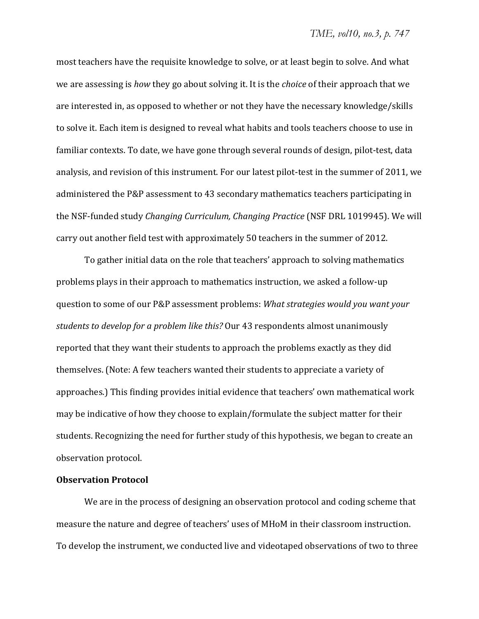most teachers have the requisite knowledge to solve, or at least begin to solve. And what we are assessing is *how* they go about solving it. It is the *choice* of their approach that we are interested in, as opposed to whether or not they have the necessary knowledge/skills to solve it. Each item is designed to reveal what habits and tools teachers choose to use in familiar contexts. To date, we have gone through several rounds of design, pilot-test, data analysis, and revision of this instrument. For our latest pilot-test in the summer of 2011, we administered the P&P assessment to 43 secondary mathematics teachers participating in the NSF-funded study *Changing Curriculum, Changing Practice* (NSF DRL 1019945). We will carry out another field test with approximately 50 teachers in the summer of 2012.

To gather initial data on the role that teachers' approach to solving mathematics problems plays in their approach to mathematics instruction, we asked a follow-up Ƭǣ*What strategies would you want your students to develop for a problem like this?* Our 43 respondents almost unanimously reported that they want their students to approach the problems exactly as they did themselves. (Note: A few teachers wanted their students to appreciate a variety of approaches.) This finding provides initial evidence that teachers' own mathematical work may be indicative of how they choose to explain/formulate the subject matter for their students. Recognizing the need for further study of this hypothesis, we began to create an observation protocol.

# **Observation Protocol**

We are in the process of designing an observation protocol and coding scheme that measure the nature and degree of teachers' uses of MHoM in their classroom instruction. To develop the instrument, we conducted live and videotaped observations of two to three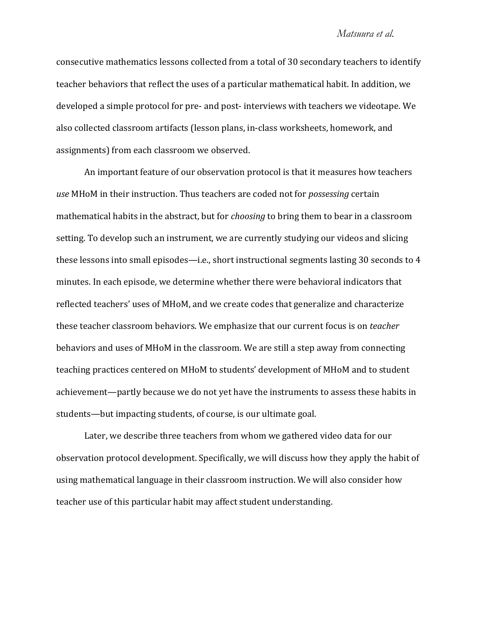#### *Matsuura et al.*

consecutive mathematics lessons collected from a total of 30 secondary teachers to identify teacher behaviors that reflect the uses of a particular mathematical habit. In addition, we developed a simple protocol for pre- and post-interviews with teachers we videotape. We also collected classroom artifacts (lesson plans, in-class worksheets, homework, and assignments) from each classroom we observed.

An important feature of our observation protocol is that it measures how teachers use MH<sub>0</sub>M in their instruction. Thus teachers are coded not for *possessing* certain mathematical habits in the abstract, but for *choosing* to bring them to bear in a classroom setting. To develop such an instrument, we are currently studying our videos and slicing these lessons into small episodes—i.e., short instructional segments lasting 30 seconds to 4 minutes. In each episode, we determine whether there were behavioral indicators that reflected teachers' uses of MHoM, and we create codes that generalize and characterize these teacher classroom behaviors. We emphasize that our current focus is on *teacher* behaviors and uses of MHoM in the classroom. We are still a step away from connecting teaching practices centered on MHoM to students' development of MHoM and to student achievement—partly because we do not yet have the instruments to assess these habits in students—but impacting students, of course, is our ultimate goal.

Later, we describe three teachers from whom we gathered video data for our observation protocol development. Specifically, we will discuss how they apply the habit of using mathematical language in their classroom instruction. We will also consider how teacher use of this particular habit may affect student understanding.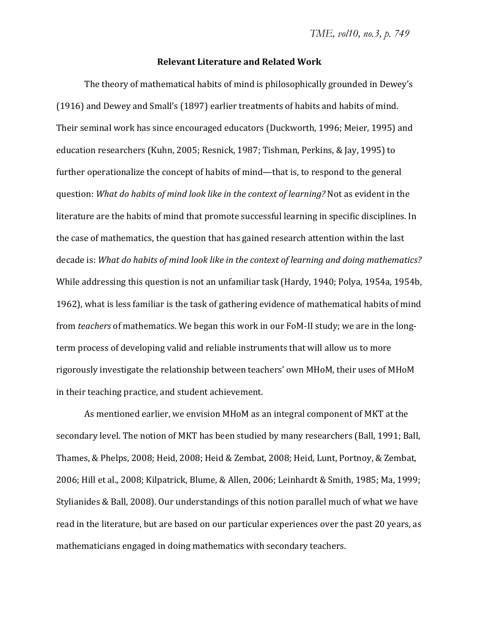#### **Relevant Literature and Related Work**

The theory of mathematical habits of mind is philosophically grounded in Dewey's (1916) and Dewey and Small's (1897) earlier treatments of habits and habits of mind. Their seminal work has since encouraged educators (Duckworth, 1996; Meier, 1995) and education researchers (Kuhn, 2005; Resnick, 1987; Tishman, Perkins, & Jay, 1995) to further operationalize the concept of habits of mind—that is, to respond to the general ǣ*What do habits of mind look like in the context of learning?* literature are the habits of mind that promote successful learning in specific disciplines. In the case of mathematics, the question that has gained research attention within the last ǣ*What do habits of mind look like in the context of learning and doing mathematics?* While addressing this question is not an unfamiliar task (Hardy, 1940; Polya, 1954a, 1954b, 1962), what is less familiar is the task of gathering evidence of mathematical habits of mind from *teachers* of mathematics. We began this work in our FoM-II study; we are in the longterm process of developing valid and reliable instruments that will allow us to more rigorously investigate the relationship between teachers' own MHoM, their uses of MHoM in their teaching practice, and student achievement.

As mentioned earlier, we envision MHoM as an integral component of MKT at the secondary level. The notion of MKT has been studied by many researchers (Ball, 1991; Ball, Thames, & Phelps, 2008; Heid, 2008; Heid & Zembat, 2008; Heid, Lunt, Portnoy, & Zembat, 2006; Hill et al., 2008; Kilpatrick, Blume, & Allen, 2006; Leinhardt & Smith, 1985; Ma, 1999; Stylianides & Ball, 2008). Our understandings of this notion parallel much of what we have read in the literature, but are based on our particular experiences over the past 20 years, as mathematicians engaged in doing mathematics with secondary teachers.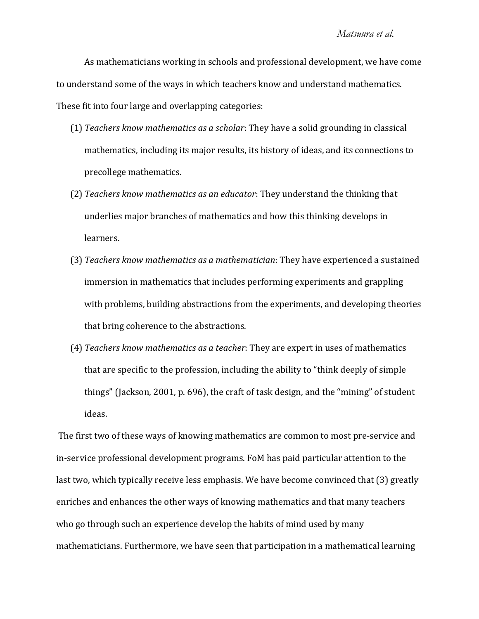## *Matsuura et al.*

As mathematicians working in schools and professional development, we have come to understand some of the ways in which teachers know and understand mathematics. These fit into four large and overlapping categories:

- $(1)$  *Teachers know mathematics as a scholar*: They have a solid grounding in classical mathematics, including its major results, its history of ideas, and its connections to precollege mathematics.
- $(2)$  *Teachers know mathematics as an educator*: They understand the thinking that underlies major branches of mathematics and how this thinking develops in learners.
- $(3)$  *Teachers know mathematics as a mathematician*: They have experienced a sustained immersion in mathematics that includes performing experiments and grappling with problems, building abstractions from the experiments, and developing theories that bring coherence to the abstractions.
- $(4)$  *Teachers know mathematics as a teacher*: They are expert in uses of mathematics that are specific to the profession, including the ability to "think deeply of simple" things" (Jackson, 2001, p. 696), the craft of task design, and the "mining" of student ideas.

The first two of these ways of knowing mathematics are common to most pre-service and in-service professional development programs. FoM has paid particular attention to the last two, which typically receive less emphasis. We have become convinced that (3) greatly enriches and enhances the other ways of knowing mathematics and that many teachers who go through such an experience develop the habits of mind used by many mathematicians. Furthermore, we have seen that participation in a mathematical learning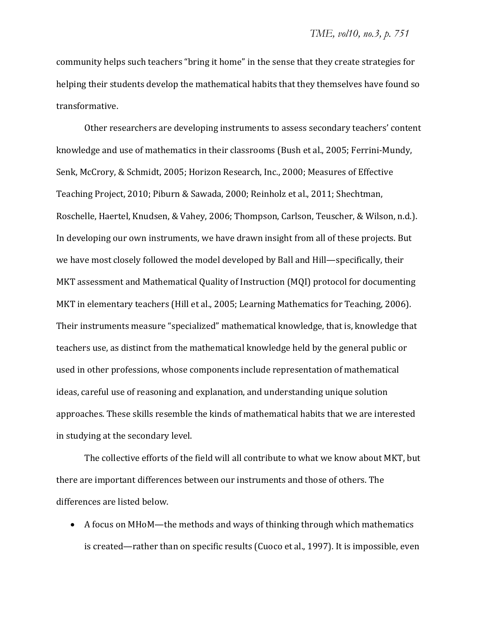community helps such teachers "bring it home" in the sense that they create strategies for helping their students develop the mathematical habits that they themselves have found so transformative.

Other researchers are developing instruments to assess secondary teachers' content knowledge and use of mathematics in their classrooms (Bush et al., 2005; Ferrini-Mundy, Senk, McCrory, & Schmidt, 2005; Horizon Research, Inc., 2000; Measures of Effective Teaching Project, 2010; Piburn & Sawada, 2000; Reinholz et al., 2011; Shechtman, Roschelle, Haertel, Knudsen, & Vahey, 2006; Thompson, Carlson, Teuscher, & Wilson, n.d.). In developing our own instruments, we have drawn insight from all of these projects. But we have most closely followed the model developed by Ball and Hill—specifically, their MKT assessment and Mathematical Quality of Instruction (MQI) protocol for documenting MKT in elementary teachers (Hill et al., 2005; Learning Mathematics for Teaching, 2006). Their instruments measure "specialized" mathematical knowledge, that is, knowledge that teachers use, as distinct from the mathematical knowledge held by the general public or used in other professions, whose components include representation of mathematical ideas, careful use of reasoning and explanation, and understanding unique solution approaches. These skills resemble the kinds of mathematical habits that we are interested in studying at the secondary level.

The collective efforts of the field will all contribute to what we know about MKT, but there are important differences between our instruments and those of others. The differences are listed below.

• A focus on MHoM—the methods and ways of thinking through which mathematics is created—rather than on specific results (Cuoco et al., 1997). It is impossible, even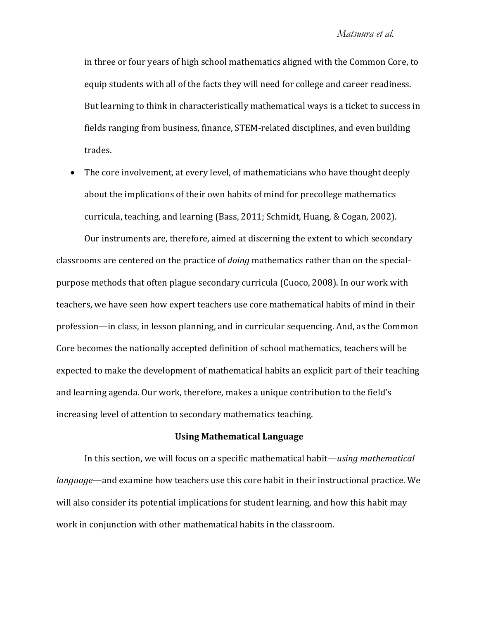in three or four years of high school mathematics aligned with the Common Core, to equip students with all of the facts they will need for college and career readiness. But learning to think in characteristically mathematical ways is a ticket to success in fields ranging from business, finance, STEM-related disciplines, and even building trades.

• The core involvement, at every level, of mathematicians who have thought deeply about the implications of their own habits of mind for precollege mathematics curricula, teaching, and learning (Bass, 2011; Schmidt, Huang, & Cogan, 2002).

Our instruments are, therefore, aimed at discerning the extent to which secondary classrooms are centered on the practice of *doing* mathematics rather than on the specialpurpose methods that often plague secondary curricula (Cuoco, 2008). In our work with teachers, we have seen how expert teachers use core mathematical habits of mind in their profession—in class, in lesson planning, and in curricular sequencing. And, as the Common Core becomes the nationally accepted definition of school mathematics, teachers will be expected to make the development of mathematical habits an explicit part of their teaching and learning agenda. Our work, therefore, makes a unique contribution to the field's increasing level of attention to secondary mathematics teaching.

# **Using Mathematical Language**

In this section, we will focus on a specific mathematical habit—using mathematical *language*—and examine how teachers use this core habit in their instructional practice. We will also consider its potential implications for student learning, and how this habit may work in conjunction with other mathematical habits in the classroom.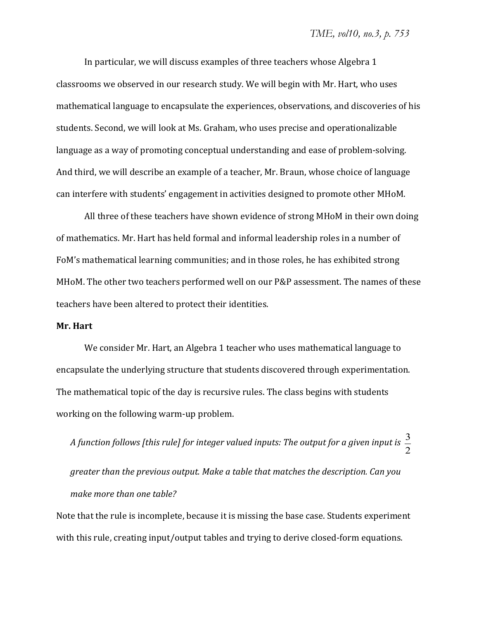In particular, we will discuss examples of three teachers whose Algebra 1 classrooms we observed in our research study. We will begin with Mr. Hart, who uses mathematical language to encapsulate the experiences, observations, and discoveries of his students. Second, we will look at Ms. Graham, who uses precise and operationalizable language as a way of promoting conceptual understanding and ease of problem-solving. And third, we will describe an example of a teacher, Mr. Braun, whose choice of language can interfere with students' engagement in activities designed to promote other MHoM.

All three of these teachers have shown evidence of strong MHoM in their own doing of mathematics. Mr. Hart has held formal and informal leadership roles in a number of FoM's mathematical learning communities; and in those roles, he has exhibited strong MHoM. The other two teachers performed well on our P&P assessment. The names of these teachers have been altered to protect their identities.

#### **Mr. Hart**

We consider Mr. Hart, an Algebra 1 teacher who uses mathematical language to encapsulate the underlying structure that students discovered through experimentation. The mathematical topic of the day is recursive rules. The class begins with students working on the following warm-up problem.

*<sup>A</sup> function follows [this rule] for integer valued inputs: The output for <sup>a</sup> given input is* <sup>3</sup> 2 *greater than the previous output. Make a table that matches the description. Can you make more than one table?*

Note that the rule is incomplete, because it is missing the base case. Students experiment with this rule, creating input/output tables and trying to derive closed-form equations.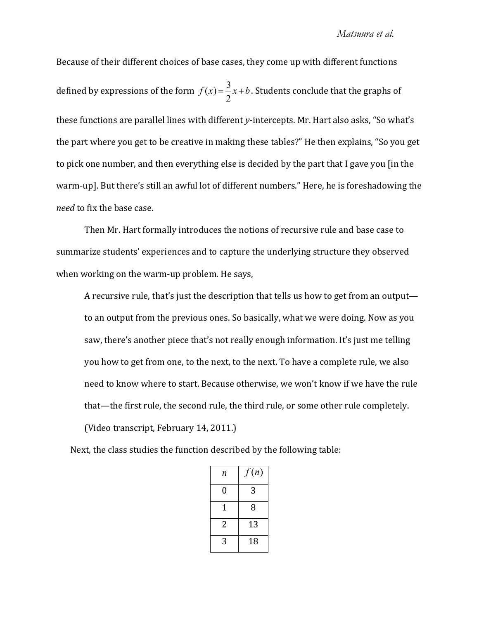# *Matsuura et al.*

Because of their different choices of base cases, they come up with different functions defined by expressions of the form  $f(x) = \frac{3}{2}$ 2  $x + b$ . Students conclude that the graphs of these functions are parallel lines with different y-intercepts. Mr. Hart also asks, "So what's the part where you get to be creative in making these tables?" He then explains, "So you get to pick one number, and then everything else is decided by the part that I gave you [in the warm-up]. But there's still an awful lot of different numbers." Here, he is foreshadowing the *need* to fix the base case.

Then Mr. Hart formally introduces the notions of recursive rule and base case to summarize students' experiences and to capture the underlying structure they observed when working on the warm-up problem. He says,

A recursive rule, that's just the description that tells us how to get from an output to an output from the previous ones. So basically, what we were doing. Now as you saw, there's another piece that's not really enough information. It's just me telling you how to get from one, to the next, to the next. To have a complete rule, we also need to know where to start. Because otherwise, we won't know if we have the rule that—the first rule, the second rule, the third rule, or some other rule completely. (Video transcript, February 14, 2011.)

Next, the class studies the function described by the following table:

| n | f(n) |
|---|------|
| 0 | 3    |
| 1 | 8    |
| 2 | 13   |
| 3 | 18   |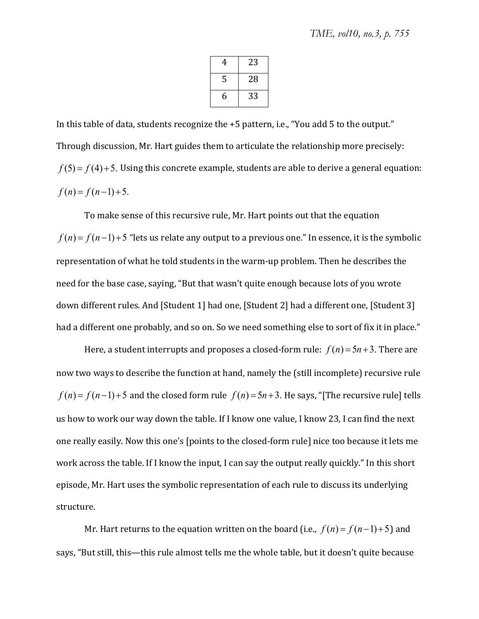| 4 | 23 |
|---|----|
| 5 | 28 |
| 6 | 33 |

In this table of data, students recognize the +5 pattern, i.e., "You add 5 to the output." Through discussion, Mr. Hart guides them to articulate the relationship more precisely:  $f(5) = f(4) + 5$ . Using this concrete example, students are able to derive a general equation:  $f(n) = f(n-1) + 5$ .

To make sense of this recursive rule, Mr. Hart points out that the equation  $f(n) = f(n-1) + 5$  "lets us relate any output to a previous one." In essence, it is the symbolic representation of what he told students in the warm-up problem. Then he describes the need for the base case, saying, "But that wasn't quite enough because lots of you wrote down different rules. And [Student 1] had one, [Student 2] had a different one, [Student 3] had a different one probably, and so on. So we need something else to sort of fix it in place."

Here, a student interrupts and proposes a closed-form rule:  $f(n) = 5n + 3$ . There are now two ways to describe the function at hand, namely the (still incomplete) recursive rule  $f(n) = f(n-1) + 5$  and the closed form rule  $f(n) = 5n + 3$ . He says, "[The recursive rule] tells us how to work our way down the table. If I know one value, I know 23, I can find the next one really easily. Now this one's [points to the closed-form rule] nice too because it lets me work across the table. If I know the input, I can say the output really quickly." In this short episode, Mr. Hart uses the symbolic representation of each rule to discuss its underlying structure.

Mr. Hart returns to the equation written on the board (i.e.,  $f(n) = f(n-1)+5$ ) and says, "But still, this—this rule almost tells me the whole table, but it doesn't quite because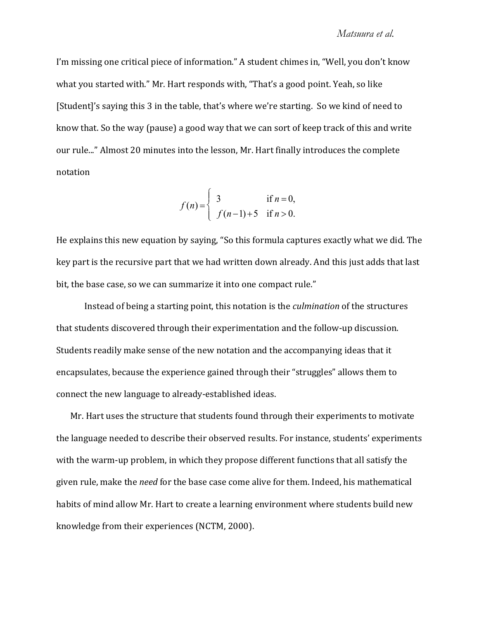I'm missing one critical piece of information." A student chimes in, "Well, you don't know what you started with." Mr. Hart responds with, "That's a good point. Yeah, so like [Student]'s saying this 3 in the table, that's where we're starting. So we kind of need to know that. So the way (pause) a good way that we can sort of keep track of this and write our rule..." Almost 20 minutes into the lesson, Mr. Hart finally introduces the complete notation

$$
f(n) = \begin{cases} 3 & \text{if } n = 0, \\ f(n-1) + 5 & \text{if } n > 0. \end{cases}
$$

He explains this new equation by saying, "So this formula captures exactly what we did. The key part is the recursive part that we had written down already. And this just adds that last bit, the base case, so we can summarize it into one compact rule."

Instead of being a starting point, this notation is the *culmination* of the structures that students discovered through their experimentation and the follow-up discussion. Students readily make sense of the new notation and the accompanying ideas that it encapsulates, because the experience gained through their "struggles" allows them to connect the new language to already-established ideas.

Mr. Hart uses the structure that students found through their experiments to motivate the language needed to describe their observed results. For instance, students' experiments with the warm-up problem, in which they propose different functions that all satisfy the given rule, make the *need* for the base case come alive for them. Indeed, his mathematical habits of mind allow Mr. Hart to create a learning environment where students build new knowledge from their experiences (NCTM, 2000).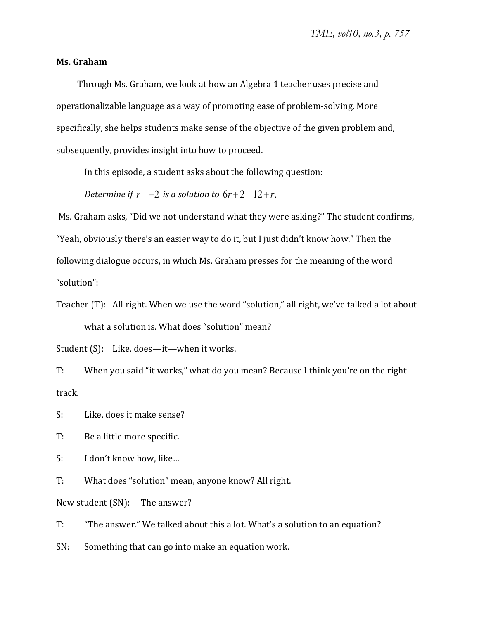# **Ms. Graham**

Through Ms. Graham, we look at how an Algebra 1 teacher uses precise and operationalizable language as a way of promoting ease of problem-solving. More specifically, she helps students make sense of the objective of the given problem and, subsequently, provides insight into how to proceed.

In this episode, a student asks about the following question:

*Determine if*  $r = -2$  *is a solution to*  $6r + 2 = 12 + r$ .

Ms. Graham asks, "Did we not understand what they were asking?" The student confirms, "Yeah, obviously there's an easier way to do it, but I just didn't know how." Then the following dialogue occurs, in which Ms. Graham presses for the meaning of the word "solution":

Teacher (T): All right. When we use the word "solution," all right, we've talked a lot about what a solution is. What does "solution" mean?

Student (S): Like, does-it-when it works.

T: When you said "it works," what do you mean? Because I think you're on the right track.

S: Like, does it make sense?

T: Be a little more specific.

S: I don't know how, like...

T: What does "solution" mean, anyone know? All right.

New student (SN): The answer?

T: "The answer." We talked about this a lot. What's a solution to an equation?

SN: Something that can go into make an equation work.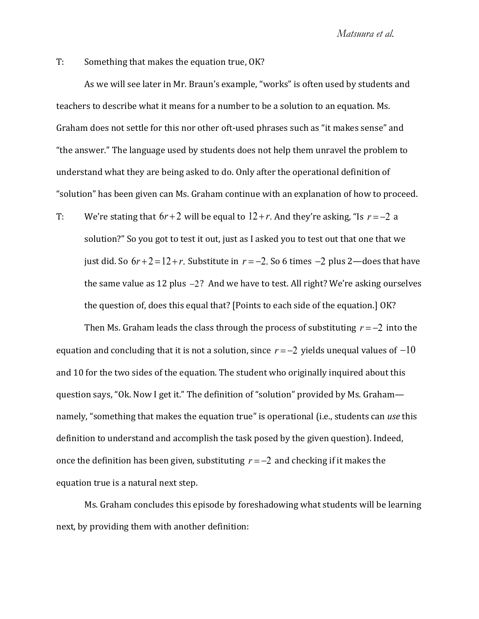T: Something that makes the equation true, OK?

As we will see later in Mr. Braun's example, "works" is often used by students and teachers to describe what it means for a number to be a solution to an equation. Ms. Graham does not settle for this nor other oft-used phrases such as "it makes sense" and "the answer." The language used by students does not help them unravel the problem to understand what they are being asked to do. Only after the operational definition of "solution" has been given can Ms. Graham continue with an explanation of how to proceed.

T: We're stating that  $6r+2$  will be equal to  $12+r$ . And they're asking, "Is  $r=-2$  a solution?" So you got to test it out, just as I asked you to test out that one that we just did. So  $6r + 2 = 12 + r$ . Substitute in  $r = -2$ . So 6 times  $-2$  plus 2—does that have the same value as 12 plus  $-2$ ? And we have to test. All right? We're asking ourselves the question of, does this equal that? [Points to each side of the equation.] OK?

Then Ms. Graham leads the class through the process of substituting  $r = -2$  into the equation and concluding that it is not a solution, since  $r = -2$  yields unequal values of  $-10$ and 10 for the two sides of the equation. The student who originally inquired about this question says, "Ok. Now I get it." The definition of "solution" provided by Ms. Grahamnamely, "something that makes the equation true" is operational (i.e., students can use this definition to understand and accomplish the task posed by the given question). Indeed, once the definition has been given, substituting  $r = -2$  and checking if it makes the equation true is a natural next step.

Ms. Graham concludes this episode by foreshadowing what students will be learning next, by providing them with another definition: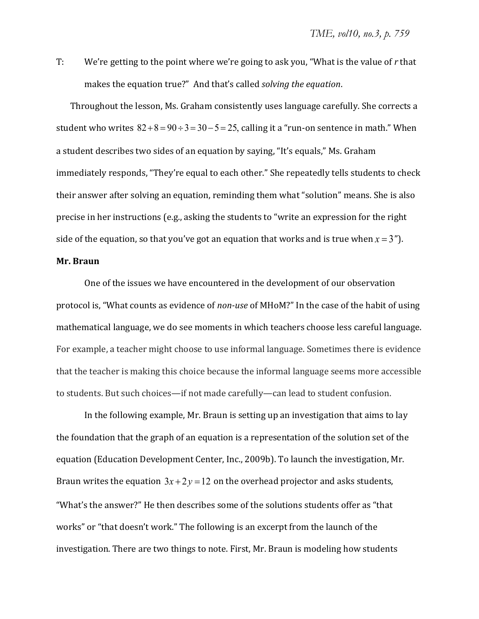T: We're getting to the point where we're going to ask you, "What is the value of r that makes the equation true?" And that's called *solving the equation*.

Throughout the lesson, Ms. Graham consistently uses language carefully. She corrects a student who writes  $82+8=90 \div 3=30-5=25$ , calling it a "run-on sentence in math." When a student describes two sides of an equation by saying, "It's equals," Ms. Graham immediately responds, "They're equal to each other." She repeatedly tells students to check their answer after solving an equation, reminding them what "solution" means. She is also precise in her instructions (e.g., asking the students to "write an expression for the right side of the equation, so that you've got an equation that works and is true when  $x = 3$ ").

## **Mr. Braun**

One of the issues we have encountered in the development of our observation protocol is, "What counts as evidence of non-use of MHoM?" In the case of the habit of using mathematical language, we do see moments in which teachers choose less careful language. For example, a teacher might choose to use informal language. Sometimes there is evidence that the teacher is making this choice because the informal language seems more accessible to students. But such choices—if not made carefully—can lead to student confusion.

In the following example, Mr. Braun is setting up an investigation that aims to lay the foundation that the graph of an equation is a representation of the solution set of the equation (Education Development Center, Inc., 2009b). To launch the investigation, Mr. Braun writes the equation  $3x+2y=12$  on the overhead projector and asks students, "What's the answer?" He then describes some of the solutions students offer as "that works" or "that doesn't work." The following is an excerpt from the launch of the investigation. There are two things to note. First, Mr. Braun is modeling how students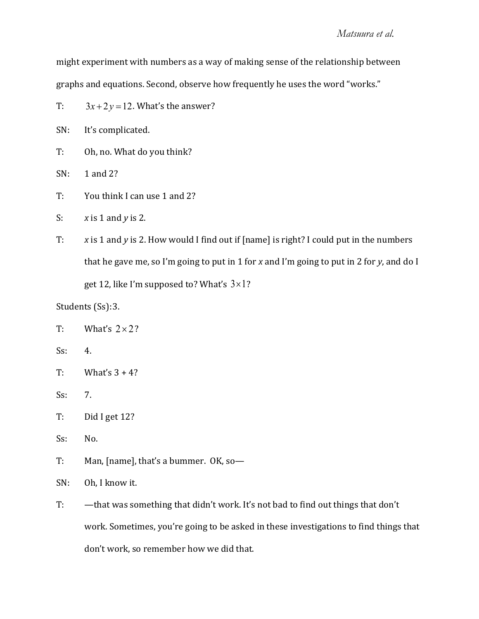might experiment with numbers as a way of making sense of the relationship between graphs and equations. Second, observe how frequently he uses the word "works."

T:  $3x + 2y = 12$ . What's the answer?

SN: It's complicated.

- T: Oh, no. What do you think?
- $SN: 1$  and  $2?$
- T: You think I can use 1 and 2?
- S:  $x \text{ is } 1 \text{ and } y \text{ is } 2.$
- T: x is 1 and y is 2. How would I find out if [name] is right? I could put in the numbers that he gave me, so I'm going to put in 1 for x and I'm going to put in 2 for y, and do I get 12, like I'm supposed to? What's  $3 \times 1$ ?

Students (Ss): 3.

- T: What's  $2 \times 2$ ?
- $Ss$ : 4.
- T: What's  $3 + 4$ ?
- $Ss: 7.$
- T: Did I get 12?
- Ss: No.
- T: Man, [name], that's a bummer. OK, so-
- SN: Oh, I know it.
- T: that was something that didn't work. It's not bad to find out things that don't work. Sometimes, you're going to be asked in these investigations to find things that don't work, so remember how we did that.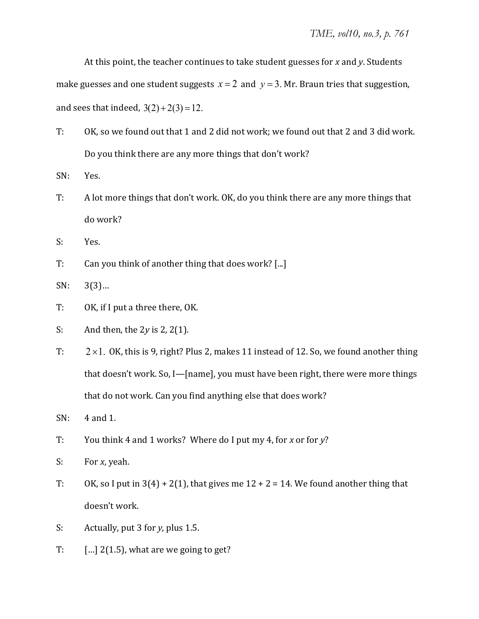At this point, the teacher continues to take student guesses for x and y. Students

make guesses and one student suggests  $x = 2$  and  $y = 3$ . Mr. Braun tries that suggestion, and sees that indeed,  $3(2) + 2(3) = 12$ .

- T: OK, so we found out that 1 and 2 did not work; we found out that 2 and 3 did work. Do you think there are any more things that don't work?
- SN: Yes.
- T: A lot more things that don't work. OK, do you think there are any more things that do work?
- S: Yes.
- T: Can you think of another thing that does work? [...]

 $SN: 3(3)...$ 

- T: OK, if I put a three there, OK.
- S: And then, the  $2y$  is  $2$ ,  $2(1)$ .
- T:  $2 \times 1$ . OK, this is 9, right? Plus 2, makes 11 instead of 12. So, we found another thing that doesn't work. So, I—[name], you must have been right, there were more things that do not work. Can you find anything else that does work?
- $SN: 4$  and 1.
- T: You think 4 and 1 works? Where do I put my 4, for x or for y?
- S: For *x*, yeah.
- T: OK, so I put in  $3(4) + 2(1)$ , that gives me  $12 + 2 = 14$ . We found another thing that doesn't work.
- S: Actually, put 3 for *y*, plus 1.5.
- T:  $\left[ \ldots \right]$  2(1.5), what are we going to get?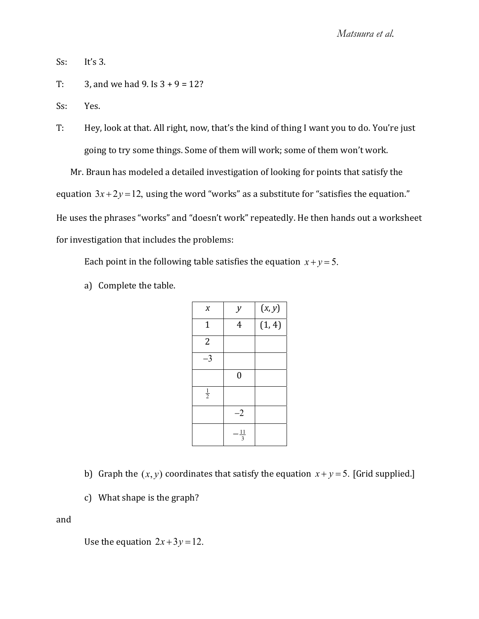$Ss$ : It's 3.

T: 3, and we had 9. Is  $3 + 9 = 12$ ?

Ss: Yes.

T: Hey, look at that. All right, now, that's the kind of thing I want you to do. You're just going to try some things. Some of them will work; some of them won't work.

Mr. Braun has modeled a detailed investigation of looking for points that satisfy the equation  $3x+2y=12$ , using the word "works" as a substitute for "satisfies the equation." He uses the phrases "works" and "doesn't work" repeatedly. He then hands out a worksheet for investigation that includes the problems:

Each point in the following table satisfies the equation  $x + y = 5$ .

a) Complete the table.

| X             | у                | (x, y) |
|---------------|------------------|--------|
| $\mathbf 1$   | $\overline{4}$   | (1, 4) |
| 2             |                  |        |
| $-3$          |                  |        |
|               | $\boldsymbol{0}$ |        |
| $\frac{1}{2}$ |                  |        |
|               | $-2$             |        |
|               | $\frac{11}{3}$   |        |

b) Graph the  $(x, y)$  coordinates that satisfy the equation  $x + y = 5$ . [Grid supplied.]

c) What shape is the graph?

and

Use the equation  $2x+3y=12$ .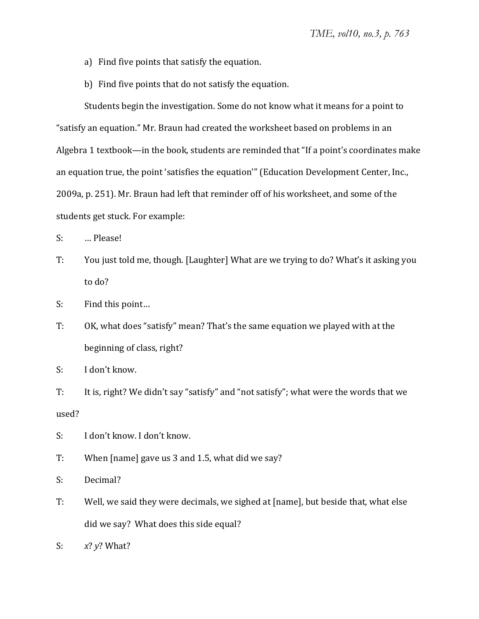- a) Find five points that satisfy the equation.
- b) Find five points that do not satisfy the equation.

Students begin the investigation. Some do not know what it means for a point to "satisfy an equation." Mr. Braun had created the worksheet based on problems in an Algebra 1 textbook—in the book, students are reminded that "If a point's coordinates make an equation true, the point 'satisfies the equation'" (Education Development Center, Inc., 2009a, p. 251). Mr. Braun had left that reminder off of his worksheet, and some of the students get stuck. For example:

- S: ... Please!
- T: You just told me, though. [Laughter] What are we trying to do? What's it asking you to do?
- S: Find this point...
- T: OK, what does "satisfy" mean? That's the same equation we played with at the beginning of class, right?
- S: I don't know.

T: It is, right? We didn't say "satisfy" and "not satisfy"; what were the words that we used?

- S: I don't know. I don't know.
- T: When [name] gave us 3 and 1.5, what did we say?
- S: Decimal?
- T: Well, we said they were decimals, we sighed at [name], but beside that, what else did we say? What does this side equal?
- S:  $x^2 y^2$  What?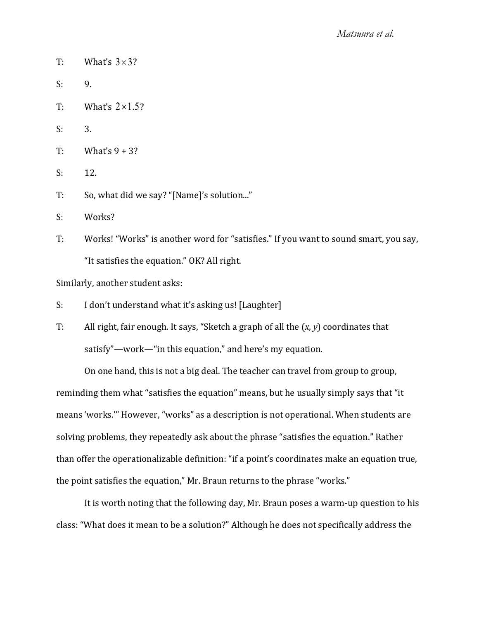- T: What's  $3 \times 3$ ?
- $S: 9.$
- T: What's  $2 \times 1.5$ ?
- $S: 3.$
- $T:$  What's  $9 + 3$ ?
- $S: 12.$
- T: So, what did we say? "[Name]'s solution..."
- S: Works?
- T: Works! "Works" is another word for "satisfies." If you want to sound smart, you say, "It satisfies the equation." OK? All right.

Similarly, another student asks:

- S: I don't understand what it's asking us! [Laughter]
- T: All right, fair enough. It says, "Sketch a graph of all the  $(x, y)$  coordinates that satisfy"—work—"in this equation," and here's my equation.

On one hand, this is not a big deal. The teacher can travel from group to group, reminding them what "satisfies the equation" means, but he usually simply says that "it means 'works." However, "works" as a description is not operational. When students are solving problems, they repeatedly ask about the phrase "satisfies the equation." Rather than offer the operationalizable definition: "if a point's coordinates make an equation true, the point satisfies the equation," Mr. Braun returns to the phrase "works."

It is worth noting that the following day, Mr. Braun poses a warm-up question to his class: "What does it mean to be a solution?" Although he does not specifically address the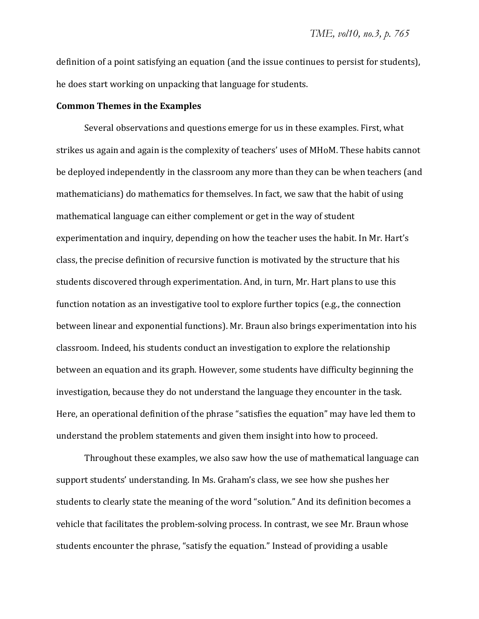definition of a point satisfying an equation (and the issue continues to persist for students), he does start working on unpacking that language for students.

#### **Common Themes in the Examples**

Several observations and questions emerge for us in these examples. First, what strikes us again and again is the complexity of teachers' uses of MHoM. These habits cannot be deployed independently in the classroom any more than they can be when teachers (and mathematicians) do mathematics for themselves. In fact, we saw that the habit of using mathematical language can either complement or get in the way of student experimentation and inquiry, depending on how the teacher uses the habit. In Mr. Hart's class, the precise definition of recursive function is motivated by the structure that his students discovered through experimentation. And, in turn, Mr. Hart plans to use this function notation as an investigative tool to explore further topics (e.g., the connection between linear and exponential functions). Mr. Braun also brings experimentation into his classroom. Indeed, his students conduct an investigation to explore the relationship between an equation and its graph. However, some students have difficulty beginning the investigation, because they do not understand the language they encounter in the task. Here, an operational definition of the phrase "satisfies the equation" may have led them to understand the problem statements and given them insight into how to proceed.

Throughout these examples, we also saw how the use of mathematical language can support students' understanding. In Ms. Graham's class, we see how she pushes her students to clearly state the meaning of the word "solution." And its definition becomes a vehicle that facilitates the problem-solving process. In contrast, we see Mr. Braun whose students encounter the phrase, "satisfy the equation." Instead of providing a usable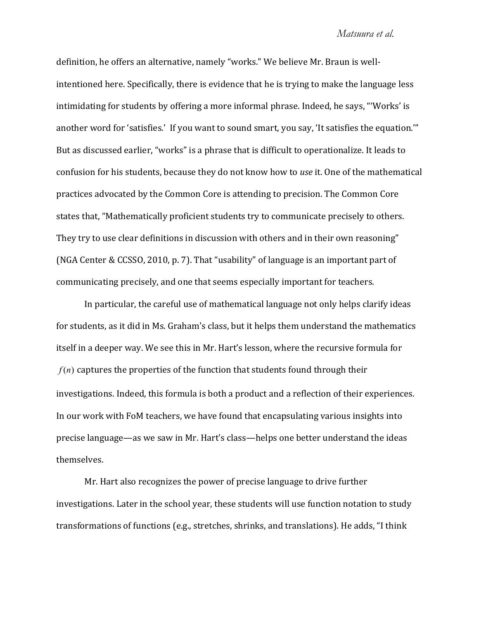#### *Matsuura et al.*

definition, he offers an alternative, namely "works." We believe Mr. Braun is wellintentioned here. Specifically, there is evidence that he is trying to make the language less intimidating for students by offering a more informal phrase. Indeed, he says, "'Works' is another word for 'satisfies.' If you want to sound smart, you say, 'It satisfies the equation."" But as discussed earlier, "works" is a phrase that is difficult to operationalize. It leads to confusion for his students, because they do not know how to use it. One of the mathematical practices advocated by the Common Core is attending to precision. The Common Core states that. "Mathematically proficient students try to communicate precisely to others. They try to use clear definitions in discussion with others and in their own reasoning" (NGA Center & CCSSO, 2010, p. 7). That "usability" of language is an important part of communicating precisely, and one that seems especially important for teachers.

In particular, the careful use of mathematical language not only helps clarify ideas for students, as it did in Ms. Graham's class, but it helps them understand the mathematics itself in a deeper way. We see this in Mr. Hart's lesson, where the recursive formula for  $f(n)$  captures the properties of the function that students found through their investigations. Indeed, this formula is both a product and a reflection of their experiences. In our work with FoM teachers, we have found that encapsulating various insights into precise language—as we saw in Mr. Hart's class—helps one better understand the ideas themselves.

Mr. Hart also recognizes the power of precise language to drive further investigations. Later in the school year, these students will use function notation to study transformations of functions (e.g., stretches, shrinks, and translations). He adds, "I think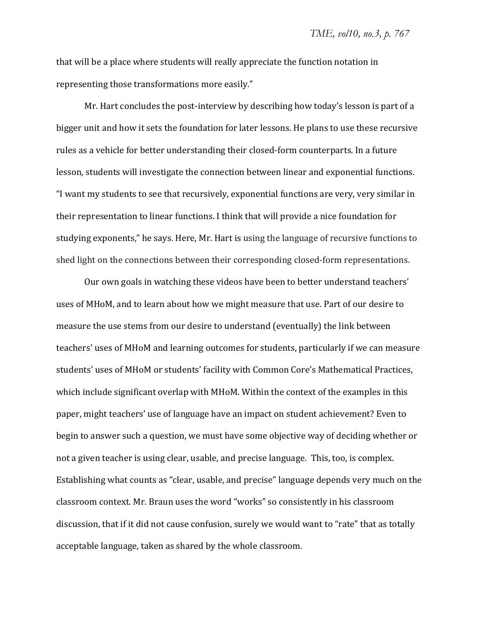that will be a place where students will really appreciate the function notation in representing those transformations more easily."

Mr. Hart concludes the post-interview by describing how today's lesson is part of a bigger unit and how it sets the foundation for later lessons. He plans to use these recursive rules as a vehicle for better understanding their closed-form counterparts. In a future lesson, students will investigate the connection between linear and exponential functions. "I want my students to see that recursively, exponential functions are very, very similar in their representation to linear functions. I think that will provide a nice foundation for studying exponents," he says. Here, Mr. Hart is using the language of recursive functions to shed light on the connections between their corresponding closed-form representations.

Our own goals in watching these videos have been to better understand teachers' uses of MHoM, and to learn about how we might measure that use. Part of our desire to measure the use stems from our desire to understand (eventually) the link between teachers' uses of MHoM and learning outcomes for students, particularly if we can measure students' uses of MHoM or students' facility with Common Core's Mathematical Practices, which include significant overlap with MHoM. Within the context of the examples in this paper, might teachers' use of language have an impact on student achievement? Even to begin to answer such a question, we must have some objective way of deciding whether or not a given teacher is using clear, usable, and precise language. This, too, is complex. Establishing what counts as "clear, usable, and precise" language depends very much on the classroom context. Mr. Braun uses the word "works" so consistently in his classroom discussion, that if it did not cause confusion, surely we would want to "rate" that as totally acceptable language, taken as shared by the whole classroom.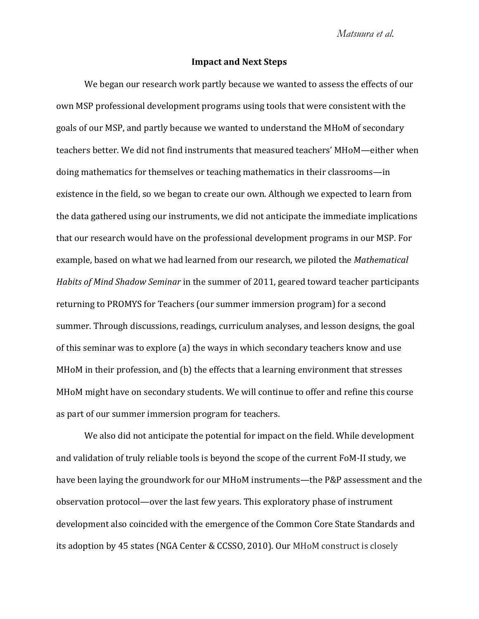### **Impact and Next Steps**

We began our research work partly because we wanted to assess the effects of our own MSP professional development programs using tools that were consistent with the goals of our MSP, and partly because we wanted to understand the MHoM of secondary teachers better. We did not find instruments that measured teachers' MHoM—either when doing mathematics for themselves or teaching mathematics in their classrooms-in existence in the field, so we began to create our own. Although we expected to learn from the data gathered using our instruments, we did not anticipate the immediate implications that our research would have on the professional development programs in our MSP. For example, based on what we had learned from our research, we piloted the *Mathematical Habits of Mind Shadow Seminar* in the summer of 2011, geared toward teacher participants returning to PROMYS for Teachers (our summer immersion program) for a second summer. Through discussions, readings, curriculum analyses, and lesson designs, the goal of this seminar was to explore (a) the ways in which secondary teachers know and use MHoM in their profession, and (b) the effects that a learning environment that stresses MHoM might have on secondary students. We will continue to offer and refine this course as part of our summer immersion program for teachers.

We also did not anticipate the potential for impact on the field. While development and validation of truly reliable tools is beyond the scope of the current FoM-II study, we have been laying the groundwork for our MHoM instruments—the P&P assessment and the observation protocol—over the last few years. This exploratory phase of instrument development also coincided with the emergence of the Common Core State Standards and its adoption by 45 states (NGA Center & CCSSO, 2010). Our MHoM construct is closely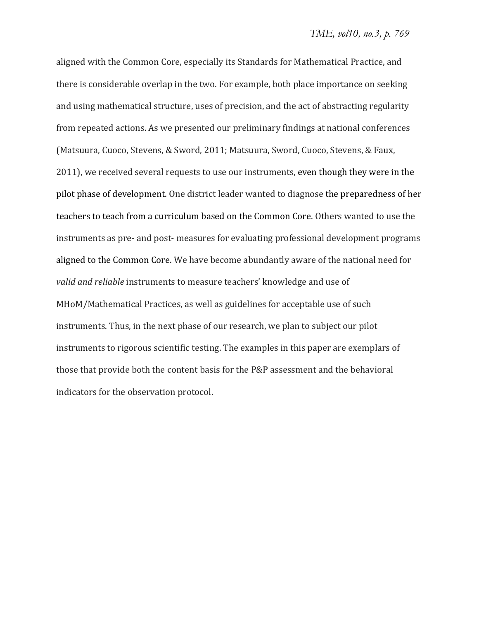aligned with the Common Core, especially its Standards for Mathematical Practice, and there is considerable overlap in the two. For example, both place importance on seeking and using mathematical structure, uses of precision, and the act of abstracting regularity from repeated actions. As we presented our preliminary findings at national conferences (Matsuura, Cuoco, Stevens, & Sword, 2011; Matsuura, Sword, Cuoco, Stevens, & Faux, 2011), we received several requests to use our instruments, even though they were in the pilot phase of development. One district leader wanted to diagnose the preparedness of her teachers to teach from a curriculum based on the Common Core. Others wanted to use the instruments as pre- and post-measures for evaluating professional development programs aligned to the Common Core. We have become abundantly aware of the national need for *valid and reliable* instruments to measure teachers' knowledge and use of MHoM/Mathematical Practices, as well as guidelines for acceptable use of such instruments. Thus, in the next phase of our research, we plan to subject our pilot instruments to rigorous scientific testing. The examples in this paper are exemplars of those that provide both the content basis for the P&P assessment and the behavioral indicators for the observation protocol.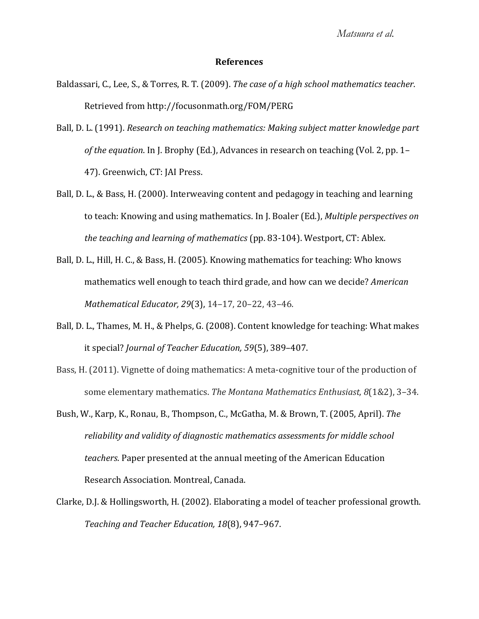# **References**

- Baldassari, C., Lee, S., & Torres, R. T. (2009). The case of a high school mathematics teacher. Retrieved from http://focusonmath.org/FOM/PERG
- ǡǤǤȋͳͻͻͳȌǤ*Research on teaching mathematics: Making subject matter knowledge part* of the equation. In J. Brophy (Ed.), Advances in research on teaching (Vol. 2, pp. 1-47). Greenwich, CT: JAI Press.
- Ball, D. L., & Bass, H. (2000). Interweaving content and pedagogy in teaching and learning to teach: Knowing and using mathematics. In J. Boaler (Ed.), *Multiple perspectives on the teaching and learning of mathematics* (pp. 83-104). Westport, CT: Ablex.
- Ball, D. L., Hill, H. C., & Bass, H. (2005). Knowing mathematics for teaching: Who knows mathematics well enough to teach third grade, and how can we decide? American *Mathematical Educator, 29*(3), 14-17, 20-22, 43-46.
- Ball, D. L., Thames, M. H., & Phelps, G. (2008). Content knowledge for teaching: What makes *it special? Journal of Teacher Education, 59(5), 389-407.*
- Bass, H. (2011). Vignette of doing mathematics: A meta-cognitive tour of the production of **some elementary mathematics. The Montana Mathematics Enthusiast, 8(1&2), 3-34.**
- Bush, W., Karp, K., Ronau, B., Thompson, C., McGatha, M. & Brown, T. (2005, April). The *reliability and validity of diagnostic mathematics assessments for middle school* teachers. Paper presented at the annual meeting of the American Education Research Association. Montreal, Canada.
- Clarke, D.J. & Hollingsworth, H. (2002). Elaborating a model of teacher professional growth. *Teaching and Teacher Education, 18*(8), 947-967.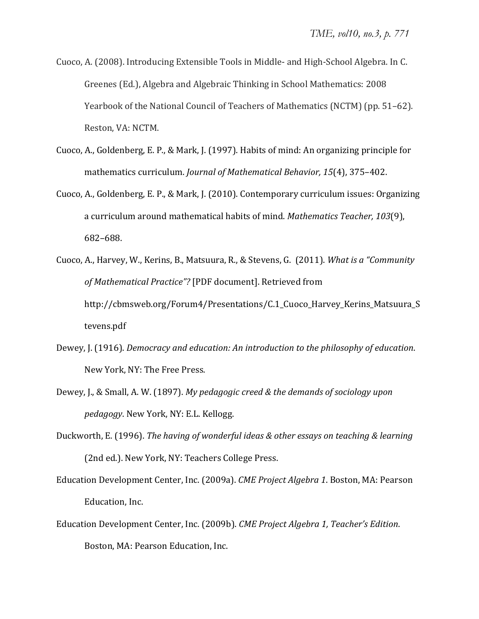- Cuoco, A. (2008). Introducing Extensible Tools in Middle- and High-School Algebra. In C. Greenes (Ed.), Algebra and Algebraic Thinking in School Mathematics: 2008 Yearbook of the National Council of Teachers of Mathematics (NCTM) (pp. 51–62). Reston, VA: NCTM.
- Cuoco, A., Goldenberg, E. P., & Mark, J. (1997). Habits of mind: An organizing principle for *mathematics curriculum. Journal of Mathematical Behavior, 15(4), 375-402.*
- Cuoco, A., Goldenberg, E. P., & Mark, J. (2010). Contemporary curriculum issues: Organizing a curriculum around mathematical habits of mind. Mathematics Teacher, 103<sup>(9)</sup>,  $682 - 688.$
- Cuoco, A., Harvey, W., Kerins, B., Matsuura, R., & Stevens, G. (2011). What is a "Community *of Mathematical Practice"?* [PDF document]. Retrieved from http://cbmsweb.org/Forum4/Presentations/C.1\_Cuoco\_Harvey\_Kerins\_Matsuura\_S tevens.pdf
- Dewey, J. (1916). *Democracy and education: An introduction to the philosophy of education.* New York, NY: The Free Press.
- ǡ
ǤǡƬǡǤǤȋͳͺͻȌǤ*My pedagogic creed & the demands of sociology upon pedagogy*. New York, NY: E.L. Kellogg.
- ǡǤȋͳͻͻȌǤ*The having of wonderful ideas & other essays on teaching & learning* (2nd ed.). New York, NY: Teachers College Press.
- Education Development Center, Inc. (2009a). CME Project Algebra 1. Boston, MA: Pearson Education, Inc.
- Education Development Center, Inc. (2009b). CME Project Algebra 1, Teacher's Edition. Boston, MA: Pearson Education, Inc.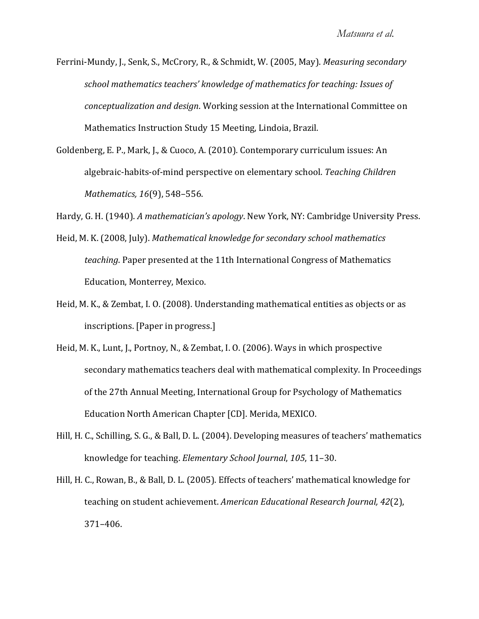Ferrini-Mundy, J., Senk, S., McCrory, R., & Schmidt, W. (2005, May). Measuring secondary *school mathematics teachers\ knowledge of mathematics for teaching: Issues of conceptualization and design*. Working session at the International Committee on Mathematics Instruction Study 15 Meeting, Lindoia, Brazil.

Goldenberg, E. P., Mark, J., & Cuoco, A. (2010). Contemporary curriculum issues: An algebraic-habits-of-mind perspective on elementary school. Teaching Children *Mathematics,* 16(9), 548-556.

Hardy, G. H. (1940). A mathematician's apology. New York, NY: Cambridge University Press.

- Heid, M. K. (2008, July). Mathematical knowledge for secondary school mathematics *teaching*. Paper presented at the 11th International Congress of Mathematics Education, Monterrey, Mexico.
- Heid, M. K., & Zembat, I. O. (2008). Understanding mathematical entities as objects or as inscriptions. [Paper in progress.]
- Heid, M. K., Lunt, J., Portnoy, N., & Zembat, I. O. (2006). Ways in which prospective secondary mathematics teachers deal with mathematical complexity. In Proceedings of the 27th Annual Meeting, International Group for Psychology of Mathematics Education North American Chapter [CD]. Merida, MEXICO.
- Hill, H. C., Schilling, S. G., & Ball, D. L. (2004). Developing measures of teachers' mathematics knowledge for teaching. *Elementary School Journal*, 105, 11-30.
- Hill, H. C., Rowan, B., & Ball, D. L. (2005). Effects of teachers' mathematical knowledge for teaching on student achievement. American Educational Research Journal, 42(2),  $371 - 406.$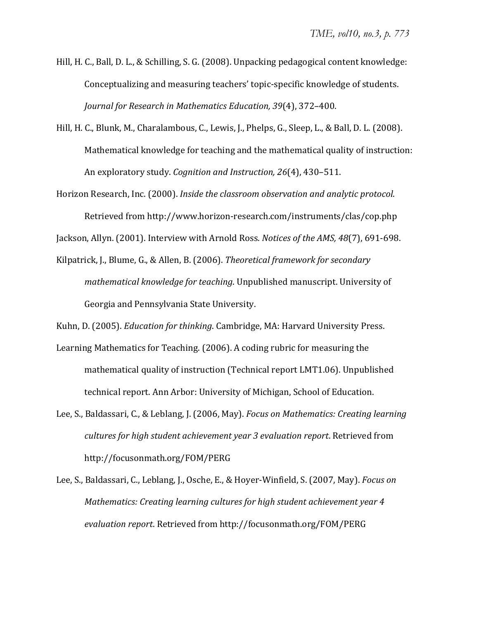- Hill, H. C., Ball, D. L., & Schilling, S. G. (2008). Unpacking pedagogical content knowledge: Conceptualizing and measuring teachers' topic-specific knowledge of students. *Journal for Research in Mathematics Education, 39(4), 372-400.*
- Hill, H. C., Blunk, M., Charalambous, C., Lewis, J., Phelps, G., Sleep, L., & Ball, D. L. (2008). Mathematical knowledge for teaching and the mathematical quality of instruction: *An exploratory study. Cognition and Instruction, 26*(4), 430-511.
- ǡǤȋʹͲͲͲȌǤ*Inside the classroom observation and analytic protocol*Ǥ Retrieved from http://www.horizon-research.com/instruments/clas/cop.php

Jackson, Allyn. (2001). Interview with Arnold Ross. Notices of the AMS, 48(7), 691-698.

Kilpatrick, J., Blume, G., & Allen, B. (2006). Theoretical framework for secondary *mathematical knowledge for teaching*. Unpublished manuscript. University of Georgia and Pennsylvania State University.

Kuhn, D. (2005). *Education for thinking*. Cambridge, MA: Harvard University Press.

- Learning Mathematics for Teaching. (2006). A coding rubric for measuring the mathematical quality of instruction (Technical report LMT1.06). Unpublished technical report. Ann Arbor: University of Michigan, School of Education.
- Lee, S., Baldassari, C., & Leblang, J. (2006, May). *Focus on Mathematics: Creating learning cultures* for *high student achievement year* 3 *evaluation report*. Retrieved from http://focusonmath.org/FOM/PERG
- Lee, S., Baldassari, C., Leblang, J., Osche, E., & Hoyer-Winfield, S. (2007, May). *Focus on Mathematics: Creating learning cultures for high student achievement year 4* evaluation *report*. Retrieved from http://focusonmath.org/FOM/PERG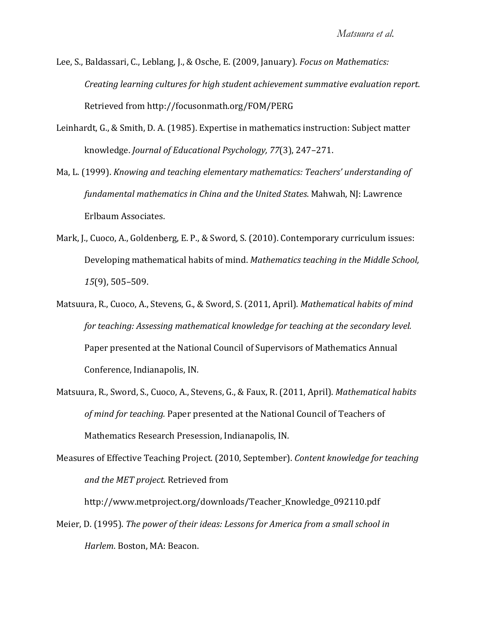- Lee, S., Baldassari, C., Leblang, J., & Osche, E. (2009, January). *Focus on Mathematics: Creating learning cultures for high student achievement summative evaluation report*Ǥ Retrieved from http://focusonmath.org/FOM/PERG
- Leinhardt, G., & Smith, D. A. (1985). Expertise in mathematics instruction: Subject matter *knowledge. Journal of Educational Psychology, 77*(3), 247-271.
- *Ma, L. (1999). Knowing and teaching elementary mathematics: Teachers' understanding of fundamental mathematics in China and the United States. Mahwah, NJ: Lawrence* Erlbaum Associates.
- Mark, J., Cuoco, A., Goldenberg, E. P., & Sword, S. (2010). Contemporary curriculum issues: Ǥ*Mathematics teaching in the Middle School, 15*(9), 505-509.
- Matsuura, R., Cuoco, A., Stevens, G., & Sword, S. (2011, April). Mathematical habits of mind *for teaching: Assessing mathematical knowledge for teaching at the secondary level.* Paper presented at the National Council of Supervisors of Mathematics Annual Conference, Indianapolis, IN.
- Matsuura, R., Sword, S., Cuoco, A., Stevens, G., & Faux, R. (2011, April). *Mathematical habits of mind for teaching.* Mathematics Research Presession, Indianapolis, IN.
- Measures of Effective Teaching Project. (2010, September). Content knowledge for teaching *and the MET project.*

http://www.metproject.org/downloads/Teacher\_Knowledge\_092110.pdf

ǡǤȋͳͻͻͷȌǤ*The power of their ideas: Lessons for America from a small school in Harlem. Boston, MA: Beacon.*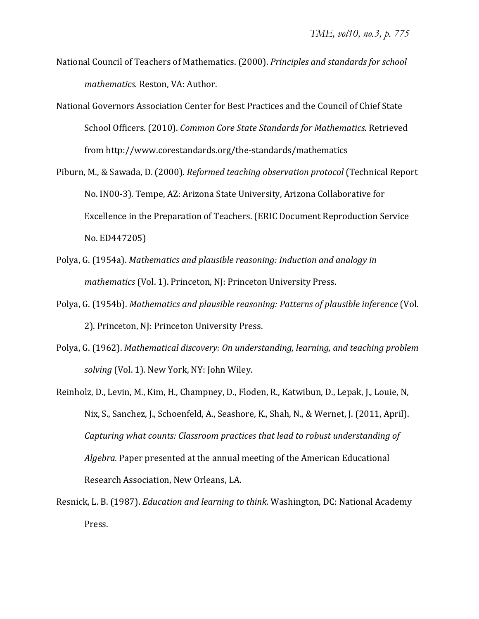- **National Council of Teachers of Mathematics. (2000). Principles and standards for school** *mathematics.* Reston, VA: Author.
- National Governors Association Center for Best Practices and the Council of Chief State  $S$ chool Officers. (2010). *Common Core State Standards for Mathematics.* Retrieved from http://www.corestandards.org/the-standards/mathematics
- Piburn, M., & Sawada, D. (2000). *Reformed teaching observation protocol* (Technical Report No. IN00-3). Tempe, AZ: Arizona State University, Arizona Collaborative for Excellence in the Preparation of Teachers. (ERIC Document Reproduction Service No. ED447205)
- Polya, G. (1954a). Mathematics and plausible reasoning: Induction and analogy in *mathematics* (Vol. 1). Princeton, NJ: Princeton University Press.
- Polya, G. (1954b). Mathematics and plausible reasoning: Patterns of plausible inference (Vol. 2). Princeton, NJ: Princeton University Press.
- ǡ ǤȋͳͻʹȌǤ*Mathematical discovery: On understanding, learning, and teaching problem solving* (Vol. 1). New York, NY: John Wiley.
- Reinholz, D., Levin, M., Kim, H., Champney, D., Floden, R., Katwibun, D., Lepak, J., Louie, N. Nix, S., Sanchez, J., Schoenfeld, A., Seashore, K., Shah, N., & Wernet, J. (2011, April). *Capturing what counts: Classroom practices that lead to robust understanding of* Algebra. Paper presented at the annual meeting of the American Educational Research Association, New Orleans, LA.
- *Resnick, L. B. (1987). Education and learning to think. Washington, DC: National Academy* Press.